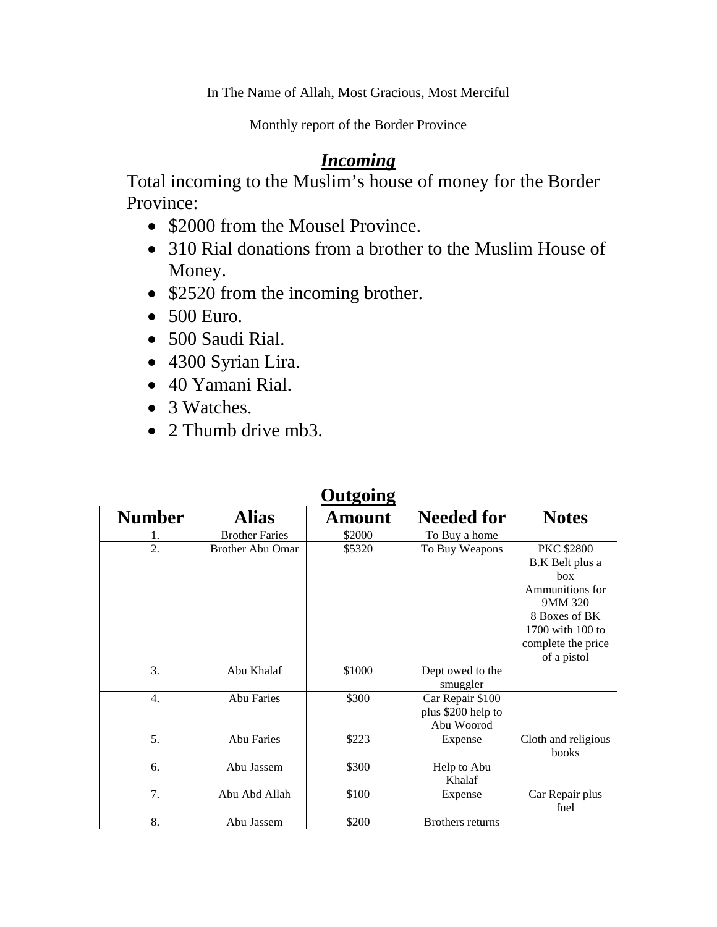In The Name of Allah, Most Gracious, Most Merciful

Monthly report of the Border Province

## *Incoming*

Total incoming to the Muslim's house of money for the Border Province:

- \$2000 from the Mousel Province.
- 310 Rial donations from a brother to the Muslim House of Money.
- \$2520 from the incoming brother.
- 500 Euro.
- 500 Saudi Rial.
- 4300 Syrian Lira.
- 40 Yamani Rial.
- 3 Watches.
- 2 Thumb drive mb3.

| Outgoing         |                         |        |                                                      |                                                                                                                                                     |  |  |  |
|------------------|-------------------------|--------|------------------------------------------------------|-----------------------------------------------------------------------------------------------------------------------------------------------------|--|--|--|
| <b>Number</b>    | <b>Alias</b>            | Amount | <b>Needed for</b>                                    | <b>Notes</b>                                                                                                                                        |  |  |  |
| 1.               | <b>Brother Faries</b>   | \$2000 | To Buy a home                                        |                                                                                                                                                     |  |  |  |
| 2.               | <b>Brother Abu Omar</b> | \$5320 | To Buy Weapons                                       | <b>PKC \$2800</b><br>B.K Belt plus a<br>box<br>Ammunitions for<br>9MM 320<br>8 Boxes of BK<br>1700 with 100 to<br>complete the price<br>of a pistol |  |  |  |
| 3.               | Abu Khalaf              | \$1000 | Dept owed to the<br>smuggler                         |                                                                                                                                                     |  |  |  |
| $\overline{4}$ . | <b>Abu Faries</b>       | \$300  | Car Repair \$100<br>plus \$200 help to<br>Abu Woorod |                                                                                                                                                     |  |  |  |
| 5.               | <b>Abu Faries</b>       | \$223  | Expense                                              | Cloth and religious<br>books                                                                                                                        |  |  |  |
| 6.               | Abu Jassem              | \$300  | Help to Abu<br>Khalaf                                |                                                                                                                                                     |  |  |  |
| 7.               | Abu Abd Allah           | \$100  | Expense                                              | Car Repair plus<br>fuel                                                                                                                             |  |  |  |
| 8.               | Abu Jassem              | \$200  | Brothers returns                                     |                                                                                                                                                     |  |  |  |

## **Outgoing**